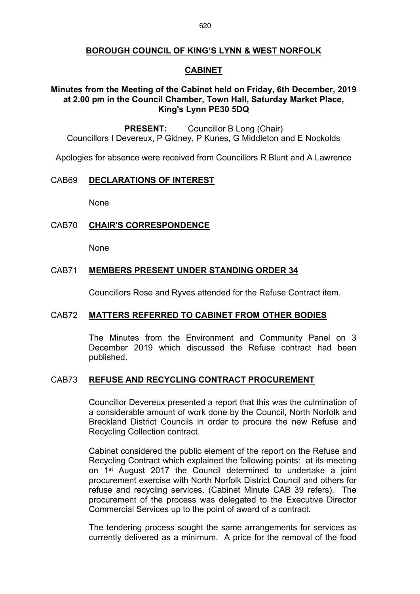## **BOROUGH COUNCIL OF KING'S LYNN & WEST NORFOLK**

## **CABINET**

## **Minutes from the Meeting of the Cabinet held on Friday, 6th December, 2019 at 2.00 pm in the Council Chamber, Town Hall, Saturday Market Place, King's Lynn PE30 5DQ**

**PRESENT:** Councillor B Long (Chair) Councillors I Devereux, P Gidney, P Kunes, G Middleton and E Nockolds

Apologies for absence were received from Councillors R Blunt and A Lawrence

#### CAB69 **DECLARATIONS OF INTEREST**

None

## CAB70 **CHAIR'S CORRESPONDENCE**

None

## CAB71 **MEMBERS PRESENT UNDER STANDING ORDER 34**

Councillors Rose and Ryves attended for the Refuse Contract item.

## CAB72 **MATTERS REFERRED TO CABINET FROM OTHER BODIES**

The Minutes from the Environment and Community Panel on 3 December 2019 which discussed the Refuse contract had been published.

#### CAB73 **REFUSE AND RECYCLING CONTRACT PROCUREMENT**

Councillor Devereux presented a report that this was the culmination of a considerable amount of work done by the Council, North Norfolk and Breckland District Councils in order to procure the new Refuse and Recycling Collection contract.

Cabinet considered the public element of the report on the Refuse and Recycling Contract which explained the following points: at its meeting on 1<sup>st</sup> August 2017 the Council determined to undertake a joint procurement exercise with North Norfolk District Council and others for refuse and recycling services. (Cabinet Minute CAB 39 refers). The procurement of the process was delegated to the Executive Director Commercial Services up to the point of award of a contract.

The tendering process sought the same arrangements for services as currently delivered as a minimum. A price for the removal of the food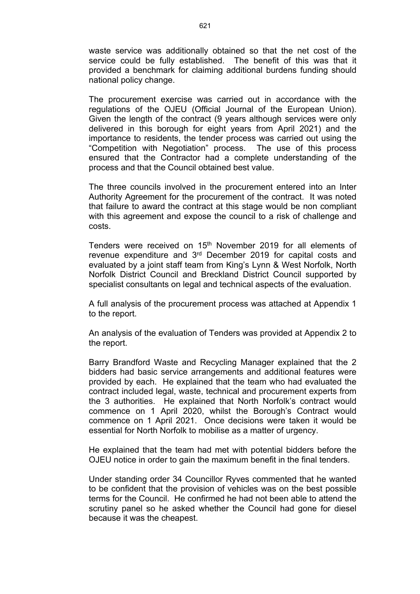waste service was additionally obtained so that the net cost of the service could be fully established. The benefit of this was that it provided a benchmark for claiming additional burdens funding should national policy change.

The procurement exercise was carried out in accordance with the regulations of the OJEU (Official Journal of the European Union). Given the length of the contract (9 years although services were only delivered in this borough for eight years from April 2021) and the importance to residents, the tender process was carried out using the "Competition with Negotiation" process. The use of this process ensured that the Contractor had a complete understanding of the process and that the Council obtained best value.

The three councils involved in the procurement entered into an Inter Authority Agreement for the procurement of the contract. It was noted that failure to award the contract at this stage would be non compliant with this agreement and expose the council to a risk of challenge and costs.

Tenders were received on 15<sup>th</sup> November 2019 for all elements of revenue expenditure and 3<sup>rd</sup> December 2019 for capital costs and evaluated by a joint staff team from King's Lynn & West Norfolk, North Norfolk District Council and Breckland District Council supported by specialist consultants on legal and technical aspects of the evaluation.

A full analysis of the procurement process was attached at Appendix 1 to the report.

An analysis of the evaluation of Tenders was provided at Appendix 2 to the report.

Barry Brandford Waste and Recycling Manager explained that the 2 bidders had basic service arrangements and additional features were provided by each. He explained that the team who had evaluated the contract included legal, waste, technical and procurement experts from the 3 authorities. He explained that North Norfolk's contract would commence on 1 April 2020, whilst the Borough's Contract would commence on 1 April 2021. Once decisions were taken it would be essential for North Norfolk to mobilise as a matter of urgency.

He explained that the team had met with potential bidders before the OJEU notice in order to gain the maximum benefit in the final tenders.

Under standing order 34 Councillor Ryves commented that he wanted to be confident that the provision of vehicles was on the best possible terms for the Council. He confirmed he had not been able to attend the scrutiny panel so he asked whether the Council had gone for diesel because it was the cheapest.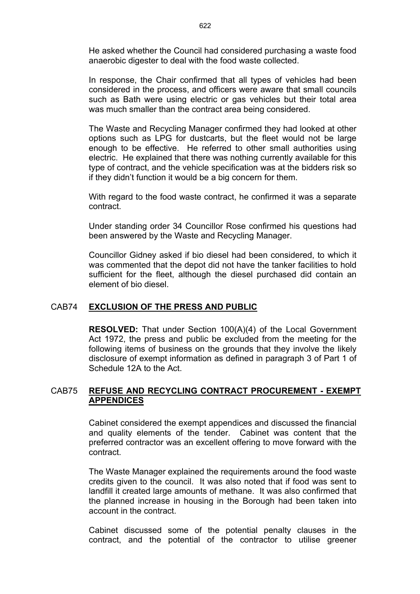He asked whether the Council had considered purchasing a waste food anaerobic digester to deal with the food waste collected.

In response, the Chair confirmed that all types of vehicles had been considered in the process, and officers were aware that small councils such as Bath were using electric or gas vehicles but their total area was much smaller than the contract area being considered.

The Waste and Recycling Manager confirmed they had looked at other options such as LPG for dustcarts, but the fleet would not be large enough to be effective. He referred to other small authorities using electric. He explained that there was nothing currently available for this type of contract, and the vehicle specification was at the bidders risk so if they didn't function it would be a big concern for them.

With regard to the food waste contract, he confirmed it was a separate contract.

Under standing order 34 Councillor Rose confirmed his questions had been answered by the Waste and Recycling Manager.

Councillor Gidney asked if bio diesel had been considered, to which it was commented that the depot did not have the tanker facilities to hold sufficient for the fleet, although the diesel purchased did contain an element of bio diesel.

### CAB74 **EXCLUSION OF THE PRESS AND PUBLIC**

**RESOLVED:** That under Section 100(A)(4) of the Local Government Act 1972, the press and public be excluded from the meeting for the following items of business on the grounds that they involve the likely disclosure of exempt information as defined in paragraph 3 of Part 1 of Schedule 12A to the Act.

## CAB75 **REFUSE AND RECYCLING CONTRACT PROCUREMENT - EXEMPT APPENDICES**

Cabinet considered the exempt appendices and discussed the financial and quality elements of the tender. Cabinet was content that the preferred contractor was an excellent offering to move forward with the contract.

The Waste Manager explained the requirements around the food waste credits given to the council. It was also noted that if food was sent to landfill it created large amounts of methane. It was also confirmed that the planned increase in housing in the Borough had been taken into account in the contract.

Cabinet discussed some of the potential penalty clauses in the contract, and the potential of the contractor to utilise greener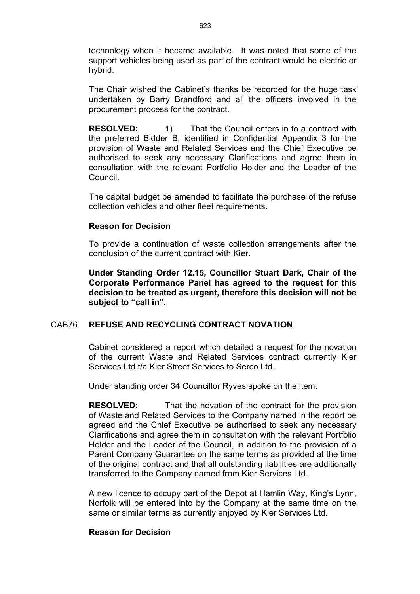technology when it became available. It was noted that some of the support vehicles being used as part of the contract would be electric or hybrid.

The Chair wished the Cabinet's thanks be recorded for the huge task undertaken by Barry Brandford and all the officers involved in the procurement process for the contract.

**RESOLVED:** 1) That the Council enters in to a contract with the preferred Bidder B, identified in Confidential Appendix 3 for the provision of Waste and Related Services and the Chief Executive be authorised to seek any necessary Clarifications and agree them in consultation with the relevant Portfolio Holder and the Leader of the Council.

The capital budget be amended to facilitate the purchase of the refuse collection vehicles and other fleet requirements.

#### **Reason for Decision**

To provide a continuation of waste collection arrangements after the conclusion of the current contract with Kier.

**Under Standing Order 12.15, Councillor Stuart Dark, Chair of the Corporate Performance Panel has agreed to the request for this decision to be treated as urgent, therefore this decision will not be subject to "call in".**

#### CAB76 **REFUSE AND RECYCLING CONTRACT NOVATION**

Cabinet considered a report which detailed a request for the novation of the current Waste and Related Services contract currently Kier Services Ltd t/a Kier Street Services to Serco Ltd.

Under standing order 34 Councillor Ryves spoke on the item.

**RESOLVED:** That the novation of the contract for the provision of Waste and Related Services to the Company named in the report be agreed and the Chief Executive be authorised to seek any necessary Clarifications and agree them in consultation with the relevant Portfolio Holder and the Leader of the Council, in addition to the provision of a Parent Company Guarantee on the same terms as provided at the time of the original contract and that all outstanding liabilities are additionally transferred to the Company named from Kier Services Ltd.

A new licence to occupy part of the Depot at Hamlin Way, King's Lynn, Norfolk will be entered into by the Company at the same time on the same or similar terms as currently enjoyed by Kier Services Ltd.

#### **Reason for Decision**